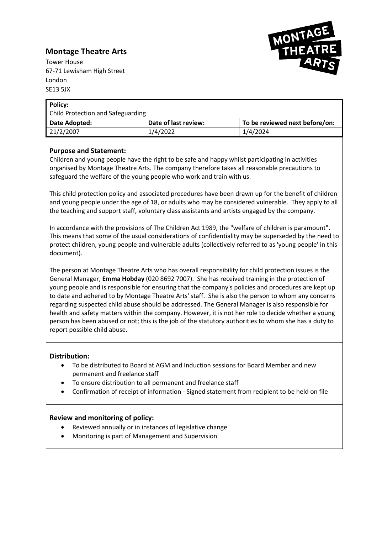# **Montage Theatre Arts**



Tower House 67-71 Lewisham High Street London SE13 5JX

| Policy:                           |                      |                                |  |
|-----------------------------------|----------------------|--------------------------------|--|
| Child Protection and Safeguarding |                      |                                |  |
| Date Adopted:                     | Date of last review: | To be reviewed next before/on: |  |
| 21/2/2007                         | 1/4/2022             | 1/4/2024                       |  |

## **Purpose and Statement:**

Children and young people have the right to be safe and happy whilst participating in activities organised by Montage Theatre Arts. The company therefore takes all reasonable precautions to safeguard the welfare of the young people who work and train with us.

This child protection policy and associated procedures have been drawn up for the benefit of children and young people under the age of 18, or adults who may be considered vulnerable. They apply to all the teaching and support staff, voluntary class assistants and artists engaged by the company.

In accordance with the provisions of The Children Act 1989, the "welfare of children is paramount". This means that some of the usual considerations of confidentiality may be superseded by the need to protect children, young people and vulnerable adults (collectively referred to as 'young people' in this document).

The person at Montage Theatre Arts who has overall responsibility for child protection issues is the General Manager, **Emma Hobday** (020 8692 7007). She has received training in the protection of young people and is responsible for ensuring that the company's policies and procedures are kept up to date and adhered to by Montage Theatre Arts' staff. She is also the person to whom any concerns regarding suspected child abuse should be addressed. The General Manager is also responsible for health and safety matters within the company. However, it is not her role to decide whether a young person has been abused or not; this is the job of the statutory authorities to whom she has a duty to report possible child abuse.

### **Distribution:**

- To be distributed to Board at AGM and Induction sessions for Board Member and new permanent and freelance staff
- To ensure distribution to all permanent and freelance staff
- Confirmation of receipt of information Signed statement from recipient to be held on file

### **Review and monitoring of policy:**

- Reviewed annually or in instances of legislative change
- Monitoring is part of Management and Supervision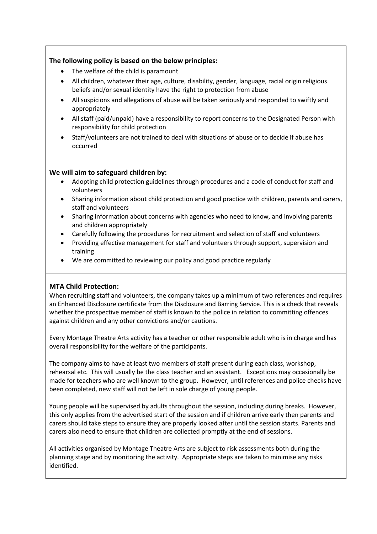## **The following policy is based on the below principles:**

- The welfare of the child is paramount
- All children, whatever their age, culture, disability, gender, language, racial origin religious beliefs and/or sexual identity have the right to protection from abuse
- All suspicions and allegations of abuse will be taken seriously and responded to swiftly and appropriately
- All staff (paid/unpaid) have a responsibility to report concerns to the Designated Person with responsibility for child protection
- Staff/volunteers are not trained to deal with situations of abuse or to decide if abuse has occurred

### **We will aim to safeguard children by:**

- Adopting child protection guidelines through procedures and a code of conduct for staff and volunteers
- Sharing information about child protection and good practice with children, parents and carers, staff and volunteers
- Sharing information about concerns with agencies who need to know, and involving parents and children appropriately
- Carefully following the procedures for recruitment and selection of staff and volunteers
- Providing effective management for staff and volunteers through support, supervision and training
- We are committed to reviewing our policy and good practice regularly

## **MTA Child Protection:**

When recruiting staff and volunteers, the company takes up a minimum of two references and requires an Enhanced Disclosure certificate from the Disclosure and Barring Service. This is a check that reveals whether the prospective member of staff is known to the police in relation to committing offences against children and any other convictions and/or cautions.

Every Montage Theatre Arts activity has a teacher or other responsible adult who is in charge and has overall responsibility for the welfare of the participants.

The company aims to have at least two members of staff present during each class, workshop, rehearsal etc. This will usually be the class teacher and an assistant. Exceptions may occasionally be made for teachers who are well known to the group. However, until references and police checks have been completed, new staff will not be left in sole charge of young people.

Young people will be supervised by adults throughout the session, including during breaks. However, this only applies from the advertised start of the session and if children arrive early then parents and carers should take steps to ensure they are properly looked after until the session starts. Parents and carers also need to ensure that children are collected promptly at the end of sessions.

All activities organised by Montage Theatre Arts are subject to risk assessments both during the planning stage and by monitoring the activity. Appropriate steps are taken to minimise any risks identified.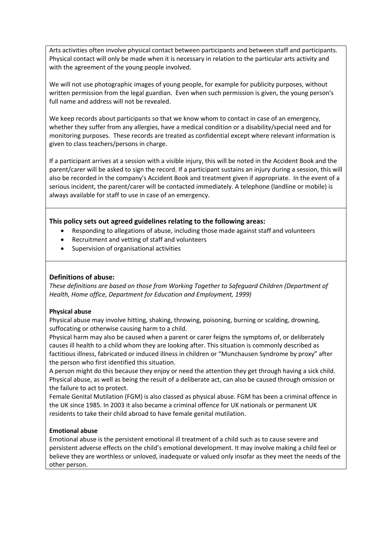Arts activities often involve physical contact between participants and between staff and participants. Physical contact will only be made when it is necessary in relation to the particular arts activity and with the agreement of the young people involved.

We will not use photographic images of young people, for example for publicity purposes, without written permission from the legal guardian. Even when such permission is given, the young person's full name and address will not be revealed.

We keep records about participants so that we know whom to contact in case of an emergency, whether they suffer from any allergies, have a medical condition or a disability/special need and for monitoring purposes. These records are treated as confidential except where relevant information is given to class teachers/persons in charge.

If a participant arrives at a session with a visible injury, this will be noted in the Accident Book and the parent/carer will be asked to sign the record. If a participant sustains an injury during a session, this will also be recorded in the company's Accident Book and treatment given if appropriate. In the event of a serious incident, the parent/carer will be contacted immediately. A telephone (landline or mobile) is always available for staff to use in case of an emergency.

### **This policy sets out agreed guidelines relating to the following areas:**

- Responding to allegations of abuse, including those made against staff and volunteers
- Recruitment and vetting of staff and volunteers
- Supervision of organisational activities

### **Definitions of abuse:**

*These definitions are based on those from Working Together to Safeguard Children (Department of Health, Home office, Department for Education and Employment, 1999)*

### **Physical abuse**

Physical abuse may involve hitting, shaking, throwing, poisoning, burning or scalding, drowning, suffocating or otherwise causing harm to a child.

Physical harm may also be caused when a parent or carer feigns the symptoms of, or deliberately causes ill health to a child whom they are looking after. This situation is commonly described as factitious illness, fabricated or induced illness in children or "Munchausen Syndrome by proxy" after the person who first identified this situation.

A person might do this because they enjoy or need the attention they get through having a sick child. Physical abuse, as well as being the result of a deliberate act, can also be caused through omission or the failure to act to protect.

Female Genital Mutilation (FGM) is also classed as physical abuse. FGM has been a criminal offence in the UK since 1985. In 2003 it also became a criminal offence for UK nationals or permanent UK residents to take their child abroad to have female genital mutilation.

### **Emotional abuse**

Emotional abuse is the persistent emotional ill treatment of a child such as to cause severe and persistent adverse effects on the child's emotional development. It may involve making a child feel or believe they are worthless or unloved, inadequate or valued only insofar as they meet the needs of the other person.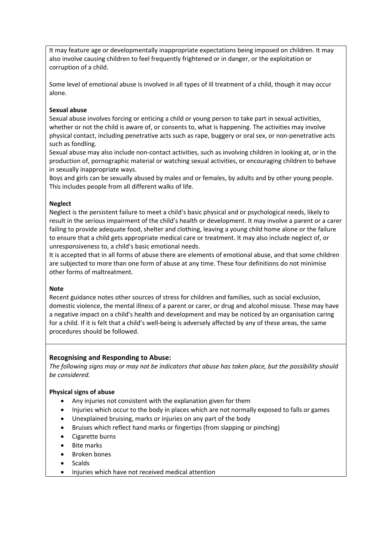It may feature age or developmentally inappropriate expectations being imposed on children. It may also involve causing children to feel frequently frightened or in danger, or the exploitation or corruption of a child.

Some level of emotional abuse is involved in all types of ill treatment of a child, though it may occur alone.

### **Sexual abuse**

Sexual abuse involves forcing or enticing a child or young person to take part in sexual activities, whether or not the child is aware of, or consents to, what is happening. The activities may involve physical contact, including penetrative acts such as rape, buggery or oral sex, or non-penetrative acts such as fondling.

Sexual abuse may also include non-contact activities, such as involving children in looking at, or in the production of, pornographic material or watching sexual activities, or encouraging children to behave in sexually inappropriate ways.

Boys and girls can be sexually abused by males and or females, by adults and by other young people. This includes people from all different walks of life.

#### **Neglect**

Neglect is the persistent failure to meet a child's basic physical and or psychological needs, likely to result in the serious impairment of the child's health or development. It may involve a parent or a carer failing to provide adequate food, shelter and clothing, leaving a young child home alone or the failure to ensure that a child gets appropriate medical care or treatment. It may also include neglect of, or unresponsiveness to, a child's basic emotional needs.

It is accepted that in all forms of abuse there are elements of emotional abuse, and that some children are subjected to more than one form of abuse at any time. These four definitions do not minimise other forms of maltreatment.

#### **Note**

Recent guidance notes other sources of stress for children and families, such as social exclusion, domestic violence, the mental illness of a parent or carer, or drug and alcohol misuse. These may have a negative impact on a child's health and development and may be noticed by an organisation caring for a child. If it is felt that a child's well-being is adversely affected by any of these areas, the same procedures should be followed.

### **Recognising and Responding to Abuse:**

*The following signs may or may not be indicators that abuse has taken place, but the possibility should be considered.*

#### **Physical signs of abuse**

- Any injuries not consistent with the explanation given for them
- Injuries which occur to the body in places which are not normally exposed to falls or games
- Unexplained bruising, marks or injuries on any part of the body
- Bruises which reflect hand marks or fingertips (from slapping or pinching)
- Cigarette burns
- **Bite marks**
- Broken bones
- Scalds
- Injuries which have not received medical attention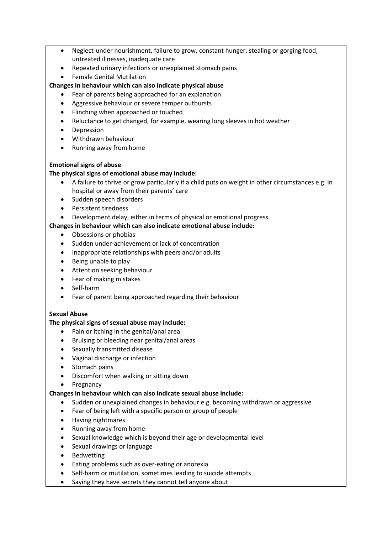- Neglect-under nourishment, failure to grow, constant hunger, stealing or gorging food, untreated illnesses, inadequate care
- Repeated urinary infections or unexplained stomach pains
- Female Genital Mutilation

## **Changes in behaviour which can also indicate physical abuse**

- Fear of parents being approached for an explanation
- Aggressive behaviour or severe temper outbursts
- Flinching when approached or touched
- Reluctance to get changed, for example, wearing long sleeves in hot weather
- Depression
- Withdrawn behaviour
- Running away from home

### **Emotional signs of abuse**

### **The physical signs of emotional abuse may include:**

- A failure to thrive or grow particularly if a child puts on weight in other circumstances e.g. in hospital or away from their parents' care
- Sudden speech disorders
- Persistent tiredness
- Development delay, either in terms of physical or emotional progress

### **Changes in behaviour which can also indicate emotional abuse include:**

- Obsessions or phobias
- Sudden under-achievement or lack of concentration
- Inappropriate relationships with peers and/or adults
- Being unable to play
- Attention seeking behaviour
- Fear of making mistakes
- Self-harm
- Fear of parent being approached regarding their behaviour

### **Sexual Abuse**

### **The physical signs of sexual abuse may include:**

- Pain or itching in the genital/anal area
- Bruising or bleeding near genital/anal areas
- Sexually transmitted disease
- Vaginal discharge or infection
- Stomach pains
- Discomfort when walking or sitting down
- **Pregnancy**

### **Changes in behaviour which can also indicate sexual abuse include:**

- Sudden or unexplained changes in behaviour e.g. becoming withdrawn or aggressive
- Fear of being left with a specific person or group of people
- Having nightmares
- Running away from home
- Sexual knowledge which is beyond their age or developmental level
- Sexual drawings or language
- **Bedwetting**
- Eating problems such as over-eating or anorexia
- Self-harm or mutilation, sometimes leading to suicide attempts
- Saying they have secrets they cannot tell anyone about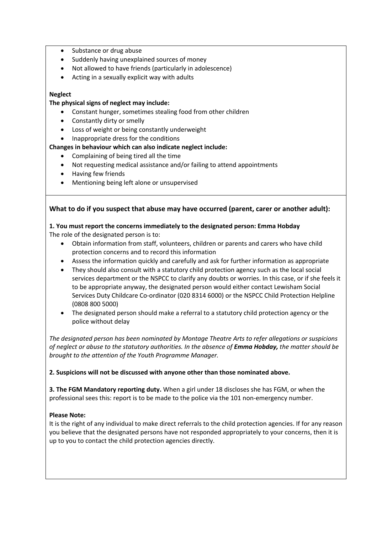- Substance or drug abuse
- Suddenly having unexplained sources of money
- Not allowed to have friends (particularly in adolescence)
- Acting in a sexually explicit way with adults

#### **Neglect**

#### **The physical signs of neglect may include:**

- Constant hunger, sometimes stealing food from other children
- Constantly dirty or smelly
- Loss of weight or being constantly underweight
- Inappropriate dress for the conditions

### **Changes in behaviour which can also indicate neglect include:**

- Complaining of being tired all the time
- Not requesting medical assistance and/or failing to attend appointments
- Having few friends
- Mentioning being left alone or unsupervised

#### **What to do if you suspect that abuse may have occurred (parent, carer or another adult):**

## **1. You must report the concerns immediately to the designated person: Emma Hobday**

The role of the designated person is to:

- Obtain information from staff, volunteers, children or parents and carers who have child protection concerns and to record this information
- Assess the information quickly and carefully and ask for further information as appropriate
- They should also consult with a statutory child protection agency such as the local social services department or the NSPCC to clarify any doubts or worries. In this case, or if she feels it to be appropriate anyway, the designated person would either contact Lewisham Social Services Duty Childcare Co-ordinator (020 8314 6000) or the NSPCC Child Protection Helpline (0808 800 5000)
- The designated person should make a referral to a statutory child protection agency or the police without delay

*The designated person has been nominated by Montage Theatre Arts to refer allegations or suspicions of neglect or abuse to the statutory authorities. In the absence of Emma Hobday, the matter should be brought to the attention of the Youth Programme Manager.*

#### **2. Suspicions will not be discussed with anyone other than those nominated above.**

**3. The FGM Mandatory reporting duty.** When a girl under 18 discloses she has FGM, or when the professional sees this: report is to be made to the police via the 101 non-emergency number.

#### **Please Note:**

It is the right of any individual to make direct referrals to the child protection agencies. If for any reason you believe that the designated persons have not responded appropriately to your concerns, then it is up to you to contact the child protection agencies directly.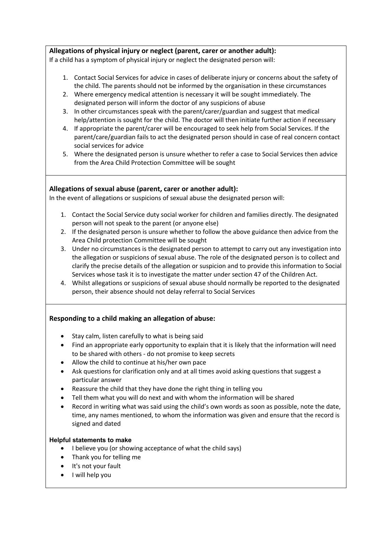### **Allegations of physical injury or neglect (parent, carer or another adult):**

If a child has a symptom of physical injury or neglect the designated person will:

- 1. Contact Social Services for advice in cases of deliberate injury or concerns about the safety of the child. The parents should not be informed by the organisation in these circumstances
- 2. Where emergency medical attention is necessary it will be sought immediately. The designated person will inform the doctor of any suspicions of abuse
- 3. In other circumstances speak with the parent/carer/guardian and suggest that medical help/attention is sought for the child. The doctor will then initiate further action if necessary
- 4. If appropriate the parent/carer will be encouraged to seek help from Social Services. If the parent/care/guardian fails to act the designated person should in case of real concern contact social services for advice
- 5. Where the designated person is unsure whether to refer a case to Social Services then advice from the Area Child Protection Committee will be sought

### **Allegations of sexual abuse (parent, carer or another adult):**

In the event of allegations or suspicions of sexual abuse the designated person will:

- 1. Contact the Social Service duty social worker for children and families directly. The designated person will not speak to the parent (or anyone else)
- 2. If the designated person is unsure whether to follow the above guidance then advice from the Area Child protection Committee will be sought
- 3. Under no circumstances is the designated person to attempt to carry out any investigation into the allegation or suspicions of sexual abuse. The role of the designated person is to collect and clarify the precise details of the allegation or suspicion and to provide this information to Social Services whose task it is to investigate the matter under section 47 of the Children Act.
- 4. Whilst allegations or suspicions of sexual abuse should normally be reported to the designated person, their absence should not delay referral to Social Services

## **Responding to a child making an allegation of abuse:**

- Stay calm, listen carefully to what is being said
- Find an appropriate early opportunity to explain that it is likely that the information will need to be shared with others - do not promise to keep secrets
- Allow the child to continue at his/her own pace
- Ask questions for clarification only and at all times avoid asking questions that suggest a particular answer
- Reassure the child that they have done the right thing in telling you
- Tell them what you will do next and with whom the information will be shared
- Record in writing what was said using the child's own words as soon as possible, note the date, time, any names mentioned, to whom the information was given and ensure that the record is signed and dated

### **Helpful statements to make**

- I believe you (or showing acceptance of what the child says)
- Thank you for telling me
- It's not your fault
- I will help you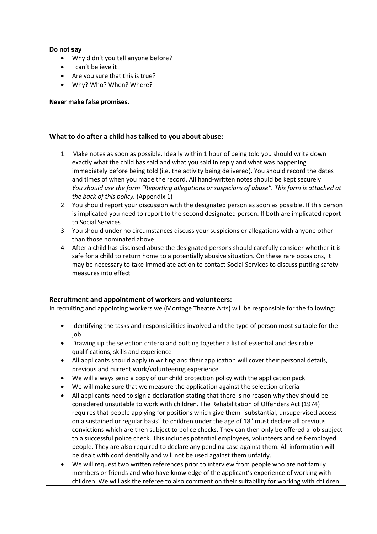#### **Do not say**

- Why didn't you tell anyone before?
- I can't believe it!
- Are you sure that this is true?
- Why? Who? When? Where?

### **Never make false promises.**

### **What to do after a child has talked to you about abuse:**

- 1. Make notes as soon as possible. Ideally within 1 hour of being told you should write down exactly what the child has said and what you said in reply and what was happening immediately before being told (i.e. the activity being delivered). You should record the dates and times of when you made the record. All hand-written notes should be kept securely. *You should use the form "Reporting allegations or suspicions of abuse". This form is attached at the back of this policy.* (Appendix 1)
- 2. You should report your discussion with the designated person as soon as possible. If this person is implicated you need to report to the second designated person. If both are implicated report to Social Services
- 3. You should under no circumstances discuss your suspicions or allegations with anyone other than those nominated above
- 4. After a child has disclosed abuse the designated persons should carefully consider whether it is safe for a child to return home to a potentially abusive situation. On these rare occasions, it may be necessary to take immediate action to contact Social Services to discuss putting safety measures into effect

## **Recruitment and appointment of workers and volunteers:**

In recruiting and appointing workers we (Montage Theatre Arts) will be responsible for the following:

- Identifying the tasks and responsibilities involved and the type of person most suitable for the job
- Drawing up the selection criteria and putting together a list of essential and desirable qualifications, skills and experience
- All applicants should apply in writing and their application will cover their personal details, previous and current work/volunteering experience
- We will always send a copy of our child protection policy with the application pack
- We will make sure that we measure the application against the selection criteria
- All applicants need to sign a declaration stating that there is no reason why they should be considered unsuitable to work with children. The Rehabilitation of Offenders Act (1974) requires that people applying for positions which give them "substantial, unsupervised access on a sustained or regular basis" to children under the age of 18" must declare all previous convictions which are then subject to police checks. They can then only be offered a job subject to a successful police check. This includes potential employees, volunteers and self-employed people. They are also required to declare any pending case against them. All information will be dealt with confidentially and will not be used against them unfairly.
- We will request two written references prior to interview from people who are not family members or friends and who have knowledge of the applicant's experience of working with children. We will ask the referee to also comment on their suitability for working with children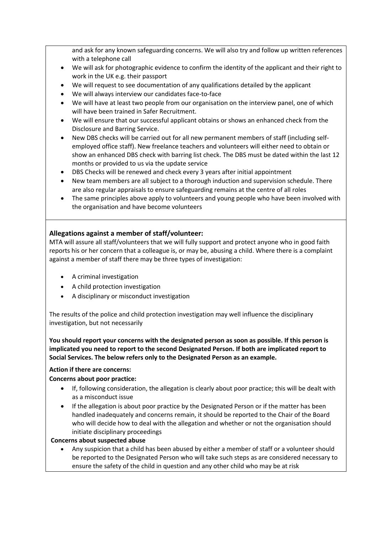and ask for any known safeguarding concerns. We will also try and follow up written references with a telephone call

- We will ask for photographic evidence to confirm the identity of the applicant and their right to work in the UK e.g. their passport
- We will request to see documentation of any qualifications detailed by the applicant
- We will always interview our candidates face-to-face
- We will have at least two people from our organisation on the interview panel, one of which will have been trained in Safer Recruitment.
- We will ensure that our successful applicant obtains or shows an enhanced check from the Disclosure and Barring Service.
- New DBS checks will be carried out for all new permanent members of staff (including selfemployed office staff). New freelance teachers and volunteers will either need to obtain or show an enhanced DBS check with barring list check. The DBS must be dated within the last 12 months or provided to us via the update service
- DBS Checks will be renewed and check every 3 years after initial appointment
- New team members are all subject to a thorough induction and supervision schedule. There are also regular appraisals to ensure safeguarding remains at the centre of all roles
- The same principles above apply to volunteers and young people who have been involved with the organisation and have become volunteers

### **Allegations against a member of staff/volunteer:**

MTA will assure all staff/volunteers that we will fully support and protect anyone who in good faith reports his or her concern that a colleague is, or may be, abusing a child. Where there is a complaint against a member of staff there may be three types of investigation:

- A criminal investigation
- A child protection investigation
- A disciplinary or misconduct investigation

The results of the police and child protection investigation may well influence the disciplinary investigation, but not necessarily

**You should report your concerns with the designated person as soon as possible. If this person is implicated you need to report to the second Designated Person. If both are implicated report to Social Services. The below refers only to the Designated Person as an example.**

### **Action if there are concerns:**

### **Concerns about poor practice:**

- If, following consideration, the allegation is clearly about poor practice; this will be dealt with as a misconduct issue
- If the allegation is about poor practice by the Designated Person or if the matter has been handled inadequately and concerns remain, it should be reported to the Chair of the Board who will decide how to deal with the allegation and whether or not the organisation should initiate disciplinary proceedings

### **Concerns about suspected abuse**

• Any suspicion that a child has been abused by either a member of staff or a volunteer should be reported to the Designated Person who will take such steps as are considered necessary to ensure the safety of the child in question and any other child who may be at risk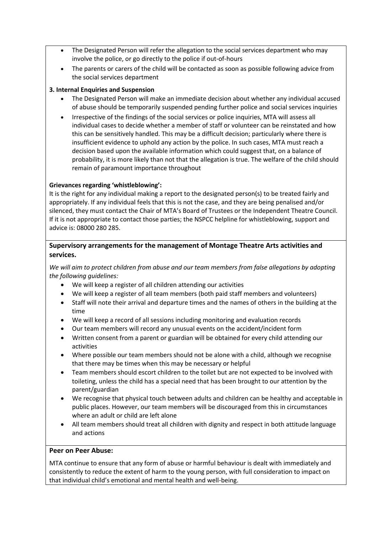- The Designated Person will refer the allegation to the social services department who may involve the police, or go directly to the police if out-of-hours
- The parents or carers of the child will be contacted as soon as possible following advice from the social services department

### **3. Internal Enquiries and Suspension**

- The Designated Person will make an immediate decision about whether any individual accused of abuse should be temporarily suspended pending further police and social services inquiries
- Irrespective of the findings of the social services or police inquiries, MTA will assess all individual cases to decide whether a member of staff or volunteer can be reinstated and how this can be sensitively handled. This may be a difficult decision; particularly where there is insufficient evidence to uphold any action by the police. In such cases, MTA must reach a decision based upon the available information which could suggest that, on a balance of probability, it is more likely than not that the allegation is true. The welfare of the child should remain of paramount importance throughout

### **Grievances regarding 'whistleblowing':**

It is the right for any individual making a report to the designated person(s) to be treated fairly and appropriately. If any individual feels that this is not the case, and they are being penalised and/or silenced, they must contact the Chair of MTA's Board of Trustees or the Independent Theatre Council. If it is not appropriate to contact those parties; the NSPCC helpline for whistleblowing, support and advice is: 08000 280 285.

## **Supervisory arrangements for the management of Montage Theatre Arts activities and services.**

*We will aim to protect children from abuse and our team members from false allegations by adopting the following guidelines:*

- We will keep a register of all children attending our activities
- We will keep a register of all team members (both paid staff members and volunteers)
- Staff will note their arrival and departure times and the names of others in the building at the time
- We will keep a record of all sessions including monitoring and evaluation records
- Our team members will record any unusual events on the accident/incident form
- Written consent from a parent or guardian will be obtained for every child attending our activities
- Where possible our team members should not be alone with a child, although we recognise that there may be times when this may be necessary or helpful
- Team members should escort children to the toilet but are not expected to be involved with toileting, unless the child has a special need that has been brought to our attention by the parent/guardian
- We recognise that physical touch between adults and children can be healthy and acceptable in public places. However, our team members will be discouraged from this in circumstances where an adult or child are left alone
- All team members should treat all children with dignity and respect in both attitude language and actions

### **Peer on Peer Abuse:**

MTA continue to ensure that any form of abuse or harmful behaviour is dealt with immediately and consistently to reduce the extent of harm to the young person, with full consideration to impact on that individual child's emotional and mental health and well-being.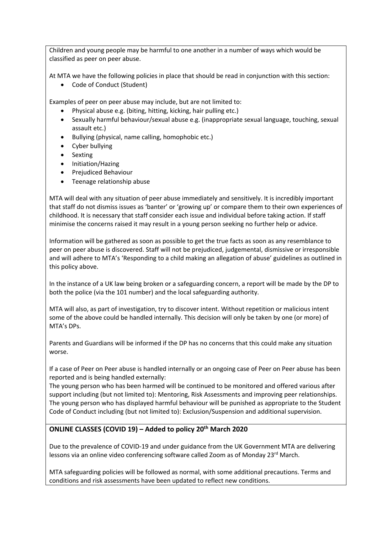Children and young people may be harmful to one another in a number of ways which would be classified as peer on peer abuse.

At MTA we have the following policies in place that should be read in conjunction with this section:

• Code of Conduct (Student)

Examples of peer on peer abuse may include, but are not limited to:

- Physical abuse e.g. (biting, hitting, kicking, hair pulling etc.)
- Sexually harmful behaviour/sexual abuse e.g. (inappropriate sexual language, touching, sexual assault etc.)
- Bullying (physical, name calling, homophobic etc.)
- Cyber bullying
- **Sexting**
- Initiation/Hazing
- Prejudiced Behaviour
- Teenage relationship abuse

MTA will deal with any situation of peer abuse immediately and sensitively. It is incredibly important that staff do not dismiss issues as 'banter' or 'growing up' or compare them to their own experiences of childhood. It is necessary that staff consider each issue and individual before taking action. If staff minimise the concerns raised it may result in a young person seeking no further help or advice.

Information will be gathered as soon as possible to get the true facts as soon as any resemblance to peer on peer abuse is discovered. Staff will not be prejudiced, judgemental, dismissive or irresponsible and will adhere to MTA's 'Responding to a child making an allegation of abuse' guidelines as outlined in this policy above.

In the instance of a UK law being broken or a safeguarding concern, a report will be made by the DP to both the police (via the 101 number) and the local safeguarding authority.

MTA will also, as part of investigation, try to discover intent. Without repetition or malicious intent some of the above could be handled internally. This decision will only be taken by one (or more) of MTA's DPs.

Parents and Guardians will be informed if the DP has no concerns that this could make any situation worse.

If a case of Peer on Peer abuse is handled internally or an ongoing case of Peer on Peer abuse has been reported and is being handled externally:

The young person who has been harmed will be continued to be monitored and offered various after support including (but not limited to): Mentoring, Risk Assessments and improving peer relationships. The young person who has displayed harmful behaviour will be punished as appropriate to the Student Code of Conduct including (but not limited to): Exclusion/Suspension and additional supervision.

### **ONLINE CLASSES (COVID 19) – Added to policy 20th March 2020**

Due to the prevalence of COVID-19 and under guidance from the UK Government MTA are delivering lessons via an online video conferencing software called Zoom as of Monday 23<sup>rd</sup> March.

MTA safeguarding policies will be followed as normal, with some additional precautions. Terms and conditions and risk assessments have been updated to reflect new conditions.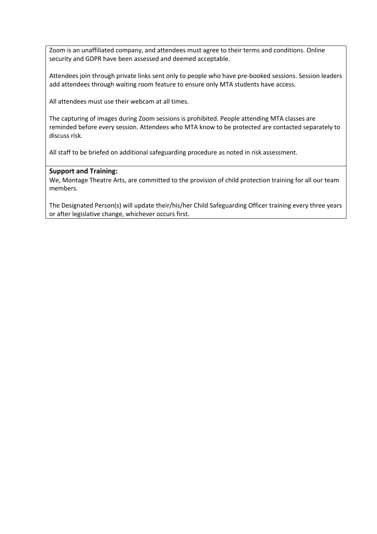Zoom is an unaffiliated company, and attendees must agree to their terms and conditions. Online security and GDPR have been assessed and deemed acceptable.

Attendees join through private links sent only to people who have pre-booked sessions. Session leaders add attendees through waiting room feature to ensure only MTA students have access.

All attendees must use their webcam at all times.

The capturing of images during Zoom sessions is prohibited. People attending MTA classes are reminded before every session. Attendees who MTA know to be protected are contacted separately to discuss risk.

All staff to be briefed on additional safeguarding procedure as noted in risk assessment.

### **Support and Training:**

We, Montage Theatre Arts, are committed to the provision of child protection training for all our team members.

The Designated Person(s) will update their/his/her Child Safeguarding Officer training every three years or after legislative change, whichever occurs first.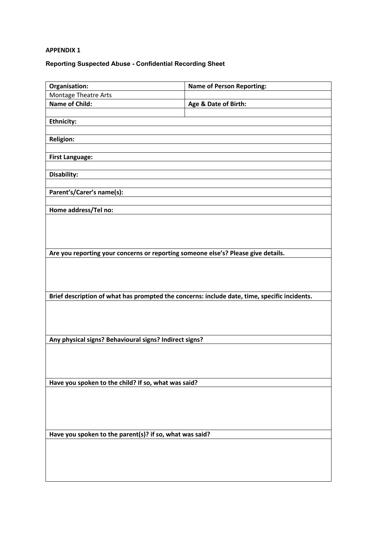## **APPENDIX 1**

# **Reporting Suspected Abuse - Confidential Recording Sheet**

| Organisation:                                                                                | <b>Name of Person Reporting:</b> |  |
|----------------------------------------------------------------------------------------------|----------------------------------|--|
| <b>Montage Theatre Arts</b>                                                                  |                                  |  |
| <b>Name of Child:</b>                                                                        | Age & Date of Birth:             |  |
|                                                                                              |                                  |  |
| <b>Ethnicity:</b>                                                                            |                                  |  |
|                                                                                              |                                  |  |
| <b>Religion:</b>                                                                             |                                  |  |
| <b>First Language:</b>                                                                       |                                  |  |
|                                                                                              |                                  |  |
| Disability:                                                                                  |                                  |  |
|                                                                                              |                                  |  |
| Parent's/Carer's name(s):                                                                    |                                  |  |
|                                                                                              |                                  |  |
| Home address/Tel no:                                                                         |                                  |  |
|                                                                                              |                                  |  |
|                                                                                              |                                  |  |
|                                                                                              |                                  |  |
| Are you reporting your concerns or reporting someone else's? Please give details.            |                                  |  |
|                                                                                              |                                  |  |
|                                                                                              |                                  |  |
|                                                                                              |                                  |  |
|                                                                                              |                                  |  |
| Brief description of what has prompted the concerns: include date, time, specific incidents. |                                  |  |
|                                                                                              |                                  |  |
|                                                                                              |                                  |  |
|                                                                                              |                                  |  |
| Any physical signs? Behavioural signs? Indirect signs?                                       |                                  |  |
|                                                                                              |                                  |  |
|                                                                                              |                                  |  |
|                                                                                              |                                  |  |
| Have you spoken to the child? If so, what was said?                                          |                                  |  |
|                                                                                              |                                  |  |
|                                                                                              |                                  |  |
|                                                                                              |                                  |  |
|                                                                                              |                                  |  |
|                                                                                              |                                  |  |
| Have you spoken to the parent(s)? if so, what was said?                                      |                                  |  |
|                                                                                              |                                  |  |
|                                                                                              |                                  |  |
|                                                                                              |                                  |  |
|                                                                                              |                                  |  |
|                                                                                              |                                  |  |